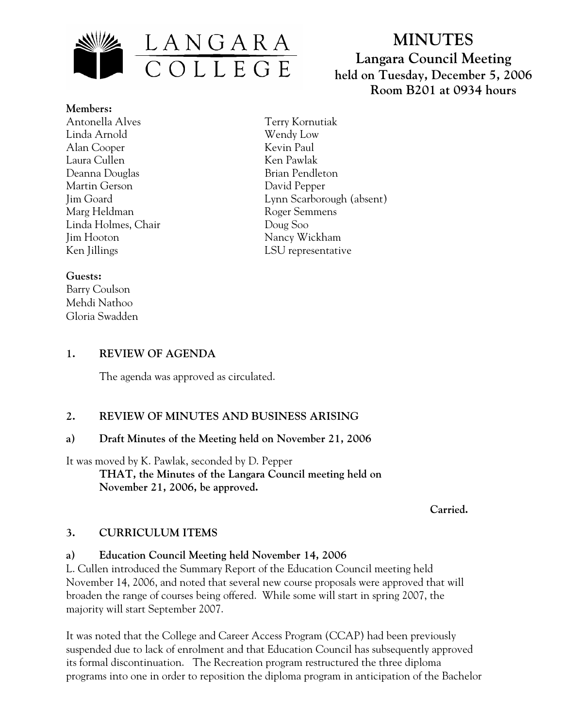

# **MINUTES Langara Council Meeting held on Tuesday, December 5, 2006 Room B201 at 0934 hours**

**Members:** Antonella Alves Linda Arnold Alan Cooper Laura Cullen Deanna Douglas Martin Gerson Jim Goard Marg Heldman Linda Holmes, Chair Jim Hooton Ken Jillings

Terry Kornutiak Wendy Low Kevin Paul Ken Pawlak Brian Pendleton David Pepper Lynn Scarborough (absent) Roger Semmens Doug Soo Nancy Wickham LSU representative

#### **Guests:**

Barry Coulson Mehdi Nathoo Gloria Swadden

# **1. REVIEW OF AGENDA**

The agenda was approved as circulated.

# **2. REVIEW OF MINUTES AND BUSINESS ARISING**

#### **a) Draft Minutes of the Meeting held on November 21, 2006**

It was moved by K. Pawlak, seconded by D. Pepper **THAT, the Minutes of the Langara Council meeting held on November 21, 2006, be approved.** 

*Carried. Carried.* 

# **3. CURRICULUM ITEMS**

# **a) Education Council Meeting held November 14, 2006**

L. Cullen introduced the Summary Report of the Education Council meeting held November 14, 2006, and noted that several new course proposals were approved that will broaden the range of courses being offered. While some will start in spring 2007, the majority will start September 2007.

It was noted that the College and Career Access Program (CCAP) had been previously suspended due to lack of enrolment and that Education Council has subsequently approved its formal discontinuation. The Recreation program restructured the three diploma programs into one in order to reposition the diploma program in anticipation of the Bachelor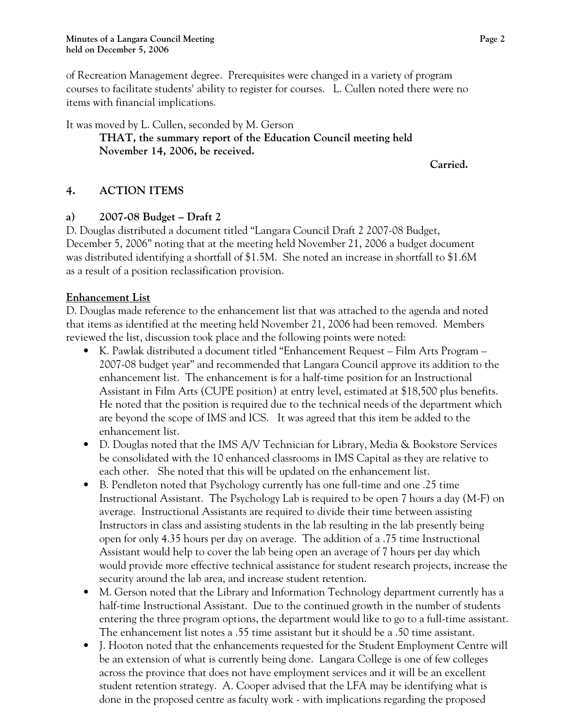of Recreation Management degree. Prerequisites were changed in a variety of program courses to facilitate students' ability to register for courses. L. Cullen noted there were no items with financial implications.

It was moved by L. Cullen, seconded by M. Gerson **THAT, the summary report of the Education Council meeting held November 14, 2006, be received.** 

*Carried. Carried.* 

# **4. ACTION ITEMS**

# **a) 2007-08 Budget – Draft 2**

D. Douglas distributed a document titled "Langara Council Draft 2 2007-08 Budget, December 5, 2006" noting that at the meeting held November 21, 2006 a budget document was distributed identifying a shortfall of \$1.5M. She noted an increase in shortfall to \$1.6M as a result of a position reclassification provision.

#### **Enhancement List**

D. Douglas made reference to the enhancement list that was attached to the agenda and noted that items as identified at the meeting held November 21, 2006 had been removed. Members reviewed the list, discussion took place and the following points were noted:

- K. Pawlak distributed a document titled "Enhancement Request Film Arts Program 2007-08 budget year" and recommended that Langara Council approve its addition to the enhancement list. The enhancement is for a half-time position for an Instructional Assistant in Film Arts (CUPE position) at entry level, estimated at \$18,500 plus benefits. He noted that the position is required due to the technical needs of the department which are beyond the scope of IMS and ICS. It was agreed that this item be added to the enhancement list.
- D. Douglas noted that the IMS A/V Technician for Library, Media & Bookstore Services be consolidated with the 10 enhanced classrooms in IMS Capital as they are relative to each other. She noted that this will be updated on the enhancement list.
- B. Pendleton noted that Psychology currently has one full-time and one .25 time Instructional Assistant. The Psychology Lab is required to be open 7 hours a day (M-F) on average. Instructional Assistants are required to divide their time between assisting Instructors in class and assisting students in the lab resulting in the lab presently being open for only 4.35 hours per day on average. The addition of a .75 time Instructional Assistant would help to cover the lab being open an average of 7 hours per day which would provide more effective technical assistance for student research projects, increase the security around the lab area, and increase student retention.
- M. Gerson noted that the Library and Information Technology department currently has a half-time Instructional Assistant. Due to the continued growth in the number of students entering the three program options, the department would like to go to a full-time assistant. The enhancement list notes a .55 time assistant but it should be a .50 time assistant.
- J. Hooton noted that the enhancements requested for the Student Employment Centre will be an extension of what is currently being done. Langara College is one of few colleges across the province that does not have employment services and it will be an excellent student retention strategy. A. Cooper advised that the LFA may be identifying what is done in the proposed centre as faculty work - with implications regarding the proposed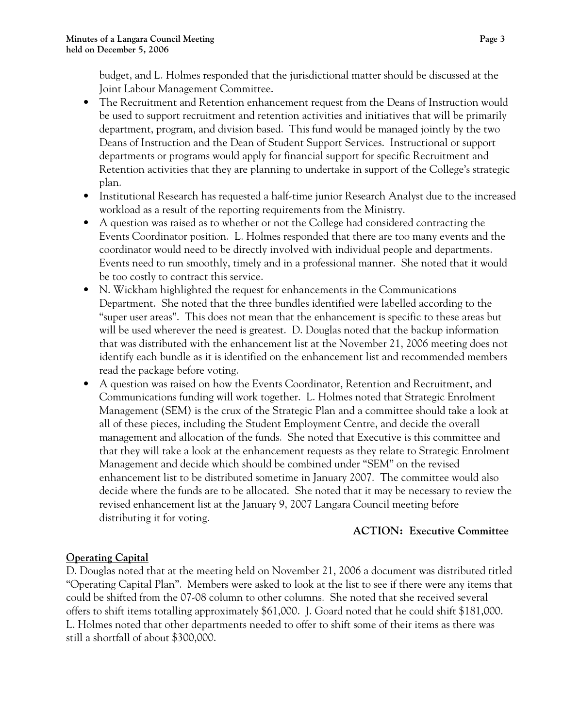budget, and L. Holmes responded that the jurisdictional matter should be discussed at the Joint Labour Management Committee.

- The Recruitment and Retention enhancement request from the Deans of Instruction would be used to support recruitment and retention activities and initiatives that will be primarily department, program, and division based. This fund would be managed jointly by the two Deans of Instruction and the Dean of Student Support Services. Instructional or support departments or programs would apply for financial support for specific Recruitment and Retention activities that they are planning to undertake in support of the College's strategic plan.
- Institutional Research has requested a half-time junior Research Analyst due to the increased workload as a result of the reporting requirements from the Ministry.
- A question was raised as to whether or not the College had considered contracting the Events Coordinator position. L. Holmes responded that there are too many events and the coordinator would need to be directly involved with individual people and departments. Events need to run smoothly, timely and in a professional manner. She noted that it would be too costly to contract this service.
- N. Wickham highlighted the request for enhancements in the Communications Department. She noted that the three bundles identified were labelled according to the "super user areas". This does not mean that the enhancement is specific to these areas but will be used wherever the need is greatest. D. Douglas noted that the backup information that was distributed with the enhancement list at the November 21, 2006 meeting does not identify each bundle as it is identified on the enhancement list and recommended members read the package before voting.
- A question was raised on how the Events Coordinator, Retention and Recruitment, and Communications funding will work together. L. Holmes noted that Strategic Enrolment Management (SEM) is the crux of the Strategic Plan and a committee should take a look at all of these pieces, including the Student Employment Centre, and decide the overall management and allocation of the funds. She noted that Executive is this committee and that they will take a look at the enhancement requests as they relate to Strategic Enrolment Management and decide which should be combined under "SEM" on the revised enhancement list to be distributed sometime in January 2007. The committee would also decide where the funds are to be allocated. She noted that it may be necessary to review the revised enhancement list at the January 9, 2007 Langara Council meeting before distributing it for voting.

#### **ACTION: Executive Committee**

# **Operating Capital**

D. Douglas noted that at the meeting held on November 21, 2006 a document was distributed titled "Operating Capital Plan". Members were asked to look at the list to see if there were any items that could be shifted from the 07-08 column to other columns. She noted that she received several offers to shift items totalling approximately \$61,000. J. Goard noted that he could shift \$181,000. L. Holmes noted that other departments needed to offer to shift some of their items as there was still a shortfall of about \$300,000.